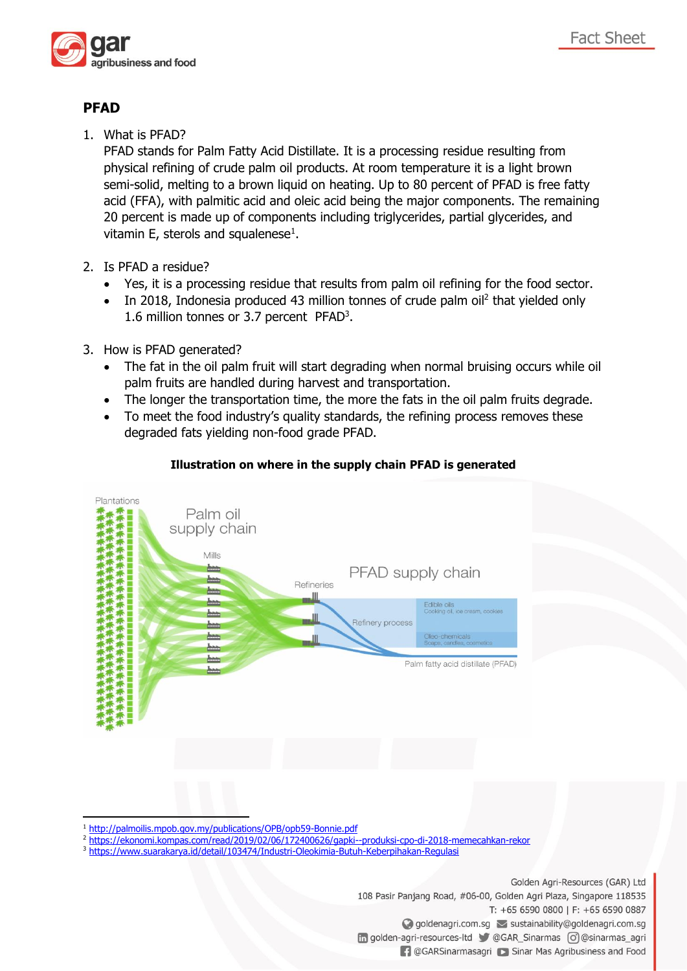

## **PFAD**

1. What is PFAD?

PFAD stands for Palm Fatty Acid Distillate. It is a processing residue resulting from physical refining of crude palm oil products. At room temperature it is a light brown semi-solid, melting to a brown liquid on heating. Up to 80 percent of PFAD is free fatty acid (FFA), with palmitic acid and oleic acid being the major components. The remaining 20 percent is made up of components including triglycerides, partial glycerides, and vitamin  $E$ , sterols and squalenese $^{1}$ .

- 2. Is PFAD a residue?
	- Yes, it is a processing residue that results from palm oil refining for the food sector.
	- In 2018, Indonesia produced 43 million tonnes of crude palm oil<sup>2</sup> that yielded only 1.6 million tonnes or 3.7 percent PFAD<sup>3</sup> .
- 3. How is PFAD generated?
	- The fat in the oil palm fruit will start degrading when normal bruising occurs while oil palm fruits are handled during harvest and transportation.
	- The longer the transportation time, the more the fats in the oil palm fruits degrade.
	- To meet the food industry's quality standards, the refining process removes these degraded fats yielding non-food grade PFAD.



## **Illustration on where in the supply chain PFAD is generated**

 $\overline{a}$ 

- <sup>2</sup> <https://ekonomi.kompas.com/read/2019/02/06/172400626/gapki--produksi-cpo-di-2018-memecahkan-rekor>
- <sup>3</sup> <https://www.suarakarya.id/detail/103474/Industri-Oleokimia-Butuh-Keberpihakan-Regulasi>

Golden Agri-Resources (GAR) Ltd 108 Pasir Panjang Road, #06-00, Golden Agri Plaza, Singapore 118535 T: +65 6590 0800 | F: +65 6590 0887 ◯ goldenagri.com.sg > sustainability@goldenagri.com.sg n golden-agri-resources-ltd @GAR\_Sinarmas o @sinarmas\_agri **1** @GARSinarmasagri is Sinar Mas Agribusiness and Food

<sup>1</sup> <http://palmoilis.mpob.gov.my/publications/OPB/opb59-Bonnie.pdf>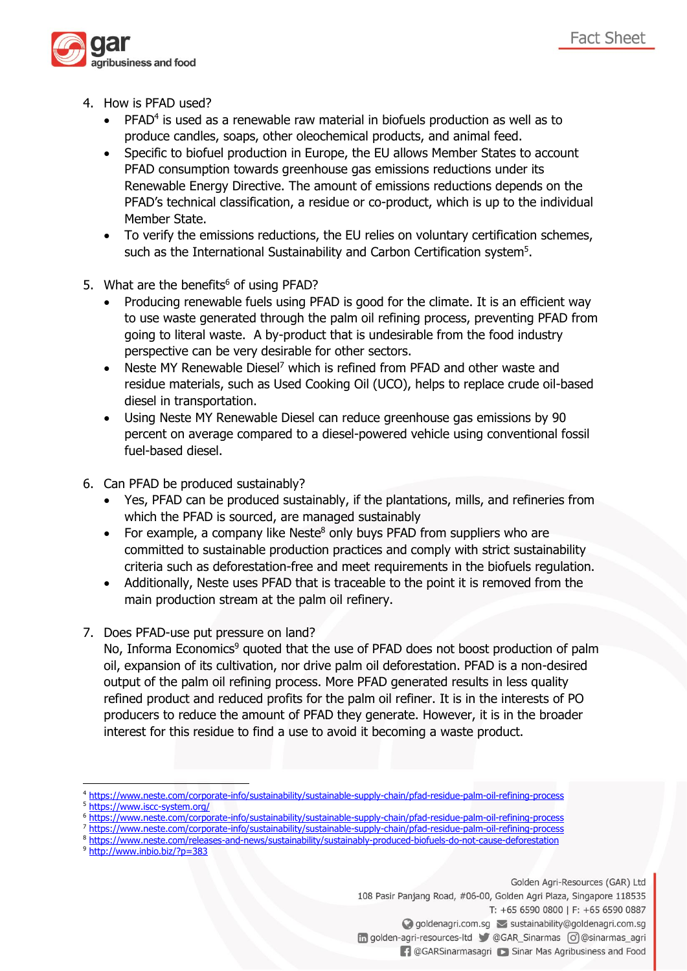

- 4. How is PFAD used?
	- $\bullet$  PFAD<sup>4</sup> is used as a renewable raw material in biofuels production as well as to produce candles, soaps, other oleochemical products, and animal feed.
	- Specific to biofuel production in Europe, the EU allows Member States to account PFAD consumption towards greenhouse gas emissions reductions under its Renewable Energy Directive. The amount of emissions reductions depends on the PFAD's technical classification, a residue or co-product, which is up to the individual Member State.
	- To verify the emissions reductions, the EU relies on voluntary certification schemes, such as the International Sustainability and Carbon Certification system<sup>5</sup>.
- 5. What are the benefits<sup>6</sup> of using PFAD?
	- Producing renewable fuels using PFAD is good for the climate. It is an efficient way to use waste generated through the palm oil refining process, preventing PFAD from going to literal waste. A by-product that is undesirable from the food industry perspective can be very desirable for other sectors.
	- Neste MY Renewable Diesel<sup>7</sup> which is refined from PFAD and other waste and residue materials, such as Used Cooking Oil (UCO), helps to replace crude oil-based diesel in transportation.
	- Using Neste MY Renewable Diesel can reduce greenhouse gas emissions by 90 percent on average compared to a diesel-powered vehicle using conventional fossil fuel-based diesel.
- 6. Can PFAD be produced sustainably?
	- Yes, PFAD can be produced sustainably, if the plantations, mills, and refineries from which the PFAD is sourced, are managed sustainably
	- For example, a company like Neste<sup>8</sup> only buys PFAD from suppliers who are committed to sustainable production practices and comply with strict sustainability criteria such as deforestation-free and meet requirements in the biofuels regulation.
	- Additionally, Neste uses PFAD that is traceable to the point it is removed from the main production stream at the palm oil refinery.
- 7. Does PFAD-use put pressure on land?

No, Informa Economics<sup>9</sup> quoted that the use of PFAD does not boost production of palm oil, expansion of its cultivation, nor drive palm oil deforestation. PFAD is a non-desired output of the palm oil refining process. More PFAD generated results in less quality refined product and reduced profits for the palm oil refiner. It is in the interests of PO producers to reduce the amount of PFAD they generate. However, it is in the broader interest for this residue to find a use to avoid it becoming a waste product.

- <sup>7</sup> <https://www.neste.com/corporate-info/sustainability/sustainable-supply-chain/pfad-residue-palm-oil-refining-process>
- <sup>8</sup> <https://www.neste.com/releases-and-news/sustainability/sustainably-produced-biofuels-do-not-cause-deforestation>
- <sup>9</sup> <http://www.inbio.biz/?p=383>

Golden Agri-Resources (GAR) Ltd

108 Pasir Panjang Road, #06-00, Golden Agri Plaza, Singapore 118535

T: +65 6590 0800 | F: +65 6590 0887

◆ goldenagri.com.sg → sustainability@goldenagri.com.sg

in golden-agri-resources-ltd @GAR\_Sinarmas | @ @sinarmas\_agri

**1** @GARSinarmasagri is Sinar Mas Agribusiness and Food

<sup>1</sup> <sup>4</sup> <https://www.neste.com/corporate-info/sustainability/sustainable-supply-chain/pfad-residue-palm-oil-refining-process>

<https://www.iscc-system.org/>

<https://www.neste.com/corporate-info/sustainability/sustainable-supply-chain/pfad-residue-palm-oil-refining-process>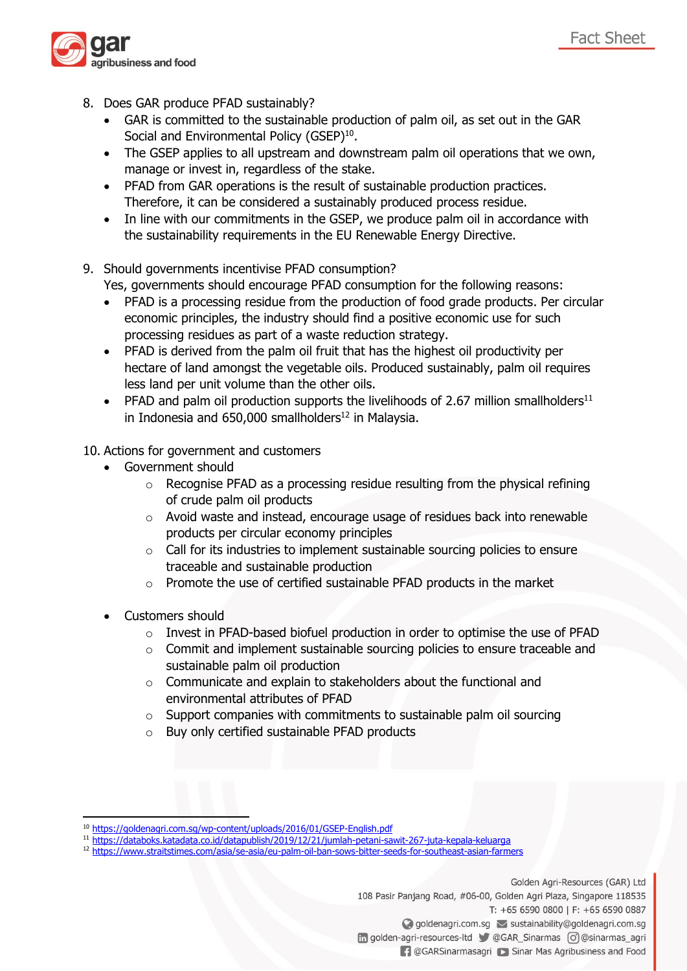- 8. Does GAR produce PFAD sustainably?
	- GAR is committed to the sustainable production of palm oil, as set out in the GAR Social and Environmental Policy (GSEP)<sup>10</sup>.
	- The GSEP applies to all upstream and downstream palm oil operations that we own, manage or invest in, regardless of the stake.
	- PFAD from GAR operations is the result of sustainable production practices. Therefore, it can be considered a sustainably produced process residue.
	- In line with our commitments in the GSEP, we produce palm oil in accordance with the sustainability requirements in the EU Renewable Energy Directive.

## 9. Should governments incentivise PFAD consumption?

Yes, governments should encourage PFAD consumption for the following reasons:

- PFAD is a processing residue from the production of food grade products. Per circular economic principles, the industry should find a positive economic use for such processing residues as part of a waste reduction strategy.
- PFAD is derived from the palm oil fruit that has the highest oil productivity per hectare of land amongst the vegetable oils. Produced sustainably, palm oil requires less land per unit volume than the other oils.
- PFAD and palm oil production supports the livelihoods of 2.67 million smallholders<sup>11</sup> in Indonesia and  $650,000$  smallholders<sup>12</sup> in Malaysia.

## 10. Actions for government and customers

- Government should
	- o Recognise PFAD as a processing residue resulting from the physical refining of crude palm oil products
	- $\circ$  Avoid waste and instead, encourage usage of residues back into renewable products per circular economy principles
	- $\circ$  Call for its industries to implement sustainable sourcing policies to ensure traceable and sustainable production
	- o Promote the use of certified sustainable PFAD products in the market
- Customers should

 $\overline{a}$ 

- o Invest in PFAD-based biofuel production in order to optimise the use of PFAD
- o Commit and implement sustainable sourcing policies to ensure traceable and sustainable palm oil production
- o Communicate and explain to stakeholders about the functional and environmental attributes of PFAD
- o Support companies with commitments to sustainable palm oil sourcing
- o Buy only certified sustainable PFAD products

- <sup>11</sup> <https://databoks.katadata.co.id/datapublish/2019/12/21/jumlah-petani-sawit-267-juta-kepala-keluarga>
- <sup>12</sup> <https://www.straitstimes.com/asia/se-asia/eu-palm-oil-ban-sows-bitter-seeds-for-southeast-asian-farmers>

Golden Agri-Resources (GAR) Ltd

**Fact Sheet** 

108 Pasir Panjang Road, #06-00, Golden Agri Plaza, Singapore 118535 T: +65 6590 0800 | F: +65 6590 0887 ◯ goldenagri.com.sg > sustainability@goldenagri.com.sg in golden-agri-resources-ltd @GAR\_Sinarmas o @sinarmas\_agri

**1** @GARSinarmasagri is Sinar Mas Agribusiness and Food

<sup>10</sup> <https://goldenagri.com.sg/wp-content/uploads/2016/01/GSEP-English.pdf>